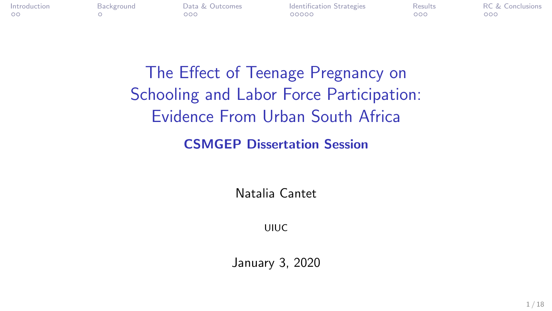<span id="page-0-0"></span>

[Introduction](#page-1-0) [Background](#page-3-0) [Data & Outcomes](#page-4-0) [Identification Strategies](#page-7-0) [Results](#page-12-0) [RC & Conclusions](#page-15-0)

The Effect of Teenage Pregnancy on Schooling and Labor Force Participation: Evidence From Urban South Africa

CSMGEP Dissertation Session

Natalia Cantet

UIUC

January 3, 2020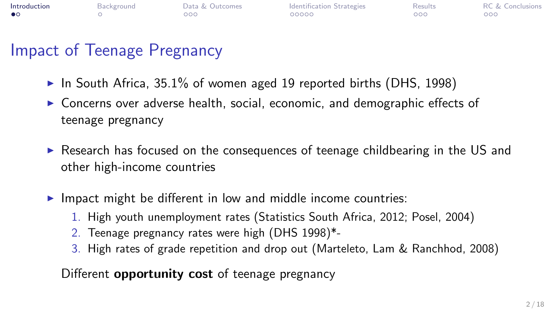<span id="page-1-0"></span>

| Introduction | Background | Data & Outcomes | Identification Strategies | Results | <b>RC &amp; Conclusions</b> |
|--------------|------------|-----------------|---------------------------|---------|-----------------------------|
| $\bullet$    |            | ာဝဝ             | 00000                     | 000     | 000 <sub>o</sub>            |

## Impact of Teenage Pregnancy

- $\blacktriangleright$  In South Africa, 35.1% of women aged 19 reported births (DHS, 1998)
- $\triangleright$  Concerns over adverse health, social, economic, and demographic effects of teenage pregnancy
- $\triangleright$  Research has focused on the consequences of teenage childbearing in the US and other high-income countries
- $\blacktriangleright$  Impact might be different in low and middle income countries:
	- 1. High youth unemployment rates (Statistics South Africa, 2012; Posel, 2004)
	- 2. Teenage pregnancy rates were high (DHS 1998)\*-
	- 3. High rates of grade repetition and drop out (Marteleto, Lam & Ranchhod, 2008)

Different **opportunity cost** of teenage pregnancy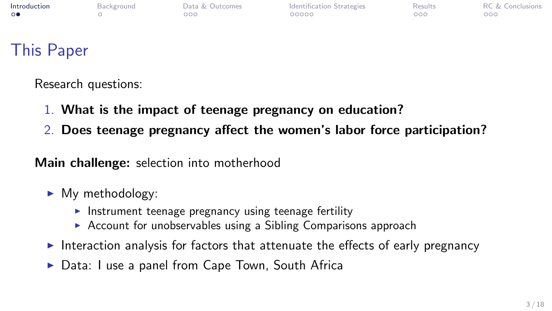| Introduction | Background | Data & Outcomes  | <b>Identification Strategies</b> | Results | <b>RC &amp; Conclusions</b> |
|--------------|------------|------------------|----------------------------------|---------|-----------------------------|
| 0●           |            | 000 <sub>o</sub> | 00000                            | 000     | 000 <sub>1</sub>            |
|              |            |                  |                                  |         |                             |

## This Paper

Research questions:

- 1. What is the impact of teenage pregnancy on education?
- 2. Does teenage pregnancy affect the women's labor force participation?

Main challenge: selection into motherhood

- $\blacktriangleright$  My methodology:
	- Instrument teenage pregnancy using teenage fertility
	- $\triangleright$  Account for unobservables using a Sibling Comparisons approach
- Interaction analysis for factors that attenuate the effects of early pregnancy
- ▶ Data: I use a panel from Cape Town, South Africa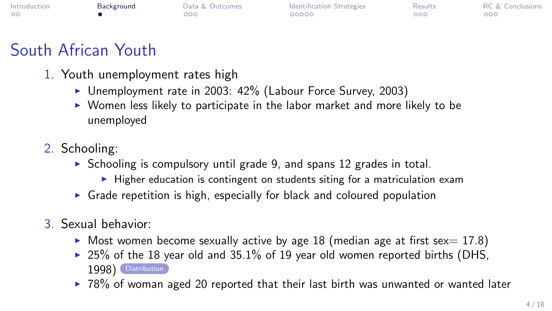<span id="page-3-0"></span>

| Introduction | Background | Data & Outcomes | <b>Identification Strategies</b> | <b>Results</b> | <b>RC &amp; Conclusions</b> |
|--------------|------------|-----------------|----------------------------------|----------------|-----------------------------|
|              |            | OOC             | 00000                            | 000            | 000                         |

# South African Youth

- <span id="page-3-1"></span>1. Youth unemployment rates high
	- $\triangleright$  Unemployment rate in 2003: 42% (Labour Force Survey, 2003)
	- $\triangleright$  Women less likely to participate in the labor market and more likely to be unemployed
- 2. Schooling:
	- $\triangleright$  Schooling is compulsory until grade 9, and spans 12 grades in total.
		- $\blacktriangleright$  Higher education is contingent on students siting for a matriculation exam
	- $\triangleright$  Grade repetition is high, especially for black and coloured population
- 3. Sexual behavior:
	- $\triangleright$  Most women become sexually active by age 18 (median age at first sex = 17.8)
	- $\geq$  25% of the 18 year old and 35.1% of 19 year old women reported births (DHS, 1998) [Distribution](#page-18-0)
	- $\geq 78\%$  of woman aged 20 reported that their last birth was unwanted or wanted later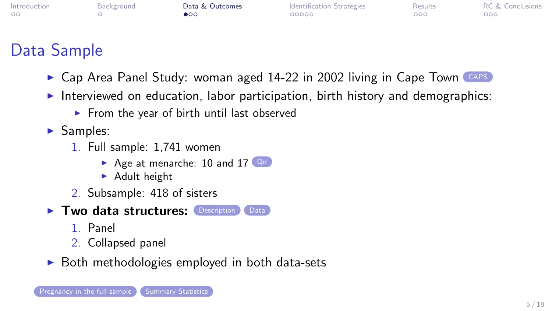<span id="page-4-0"></span>

| Introduction | Background | Data & Outcomes | <b>Identification Strategies</b> | Results | <b>RC &amp; Conclusions</b> |
|--------------|------------|-----------------|----------------------------------|---------|-----------------------------|
| $\circ$      |            | $\bullet$ 00    | 00000                            | 000     | 000                         |

## Data Sample

- <span id="page-4-1"></span> $\triangleright$  Cap Area Panel Study: woman aged 14-22 in 2002 living in Cape Town [CAPS](#page-22-0)
- Interviewed on education, labor participation, birth history and demographics:
	- $\blacktriangleright$  From the year of birth until last observed
- $\blacktriangleright$  Samples:
	- 1. Full sample: 1,741 women
		- Age at menarche: 10 and  $17$  [Qn](#page-24-0)
		- $\blacktriangleright$  Adult height
	- 2. Subsample: 418 of sisters
- $\blacktriangleright$  Two data structures: [Description](#page-0-0) [Data](#page-5-0)
	- 1. Panel
	- 2. Collapsed panel
- $\triangleright$  Both methodologies employed in both data-sets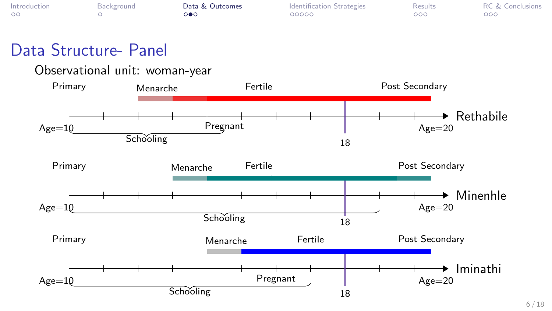| Introduction | Background | Data & Outcomes | <b>Identification Strategies</b> | Results | <b>RC &amp; Conclusions</b> |
|--------------|------------|-----------------|----------------------------------|---------|-----------------------------|
| $\circ$      |            | റ∎റ             | 00000                            | 000     | 000                         |
|              |            |                 |                                  |         |                             |

## Data Structure- Panel

#### <span id="page-5-0"></span>Observational unit: woman-year

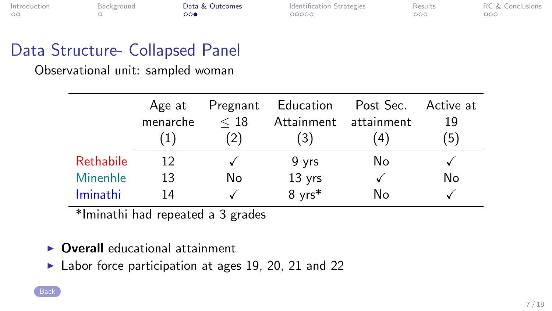| Introduction | Background | Data & Outcomes | <b>Identification Strategies</b> | <b>Results</b> | <b>RC &amp; Conclusions</b> |
|--------------|------------|-----------------|----------------------------------|----------------|-----------------------------|
|              |            | 000             | 00000                            | 000            | 000                         |

## Data Structure- Collapsed Panel

Observational unit: sampled woman

|                  | Age at   | Pregnant | Education  | Post Sec.  | Active at |
|------------------|----------|----------|------------|------------|-----------|
|                  | menarche | < 18     | Attainment | attainment | 19        |
|                  |          | 2)       | (3)        | (4)        | '5)       |
| <b>Rethabile</b> | 12       |          | 9 yrs      | No         |           |
| <b>Minenhle</b>  | 13       | No       | 13 yrs     |            | No        |
| Iminathi         | 14       |          | 8 yrs*     | N٥         |           |

\*Iminathi had repeated a 3 grades

- $\triangleright$  Overall educational attainment
- $\blacktriangleright$  Labor force participation at ages 19, 20, 21 and 22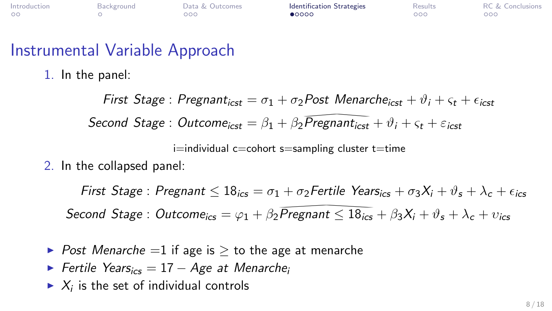<span id="page-7-0"></span>

| Introduction | Background | Data & Outcomes | Identification Strategies | Results | <b>RC &amp; Conclusions</b> |
|--------------|------------|-----------------|---------------------------|---------|-----------------------------|
| $\circ$      |            | 200             | $\bullet$ 0000            | OOC     | ೧೧೧                         |

#### Instrumental Variable Approach

1. In the panel:

First Stage : Pregnant<sub>icst</sub> =  $\sigma_1 + \sigma_2$ Post Menarche<sub>icst</sub> +  $\vartheta_i + \varsigma_t + \epsilon_{i\sigma}$ Second Stage : Outcome<sub>icst</sub> =  $\beta_1 + \beta_2 \overline{Pregnant_{icst}} + \vartheta_i + \varsigma_t + \varepsilon_{icst}$ <br>i=individual c=cohort s=sampling cluster t=time<br>e collapsed panel:

 $i=$ individual c $=$ cohort s $=$ sampling cluster t $=$ time

2. In the collapsed panel:

First Stage : Pregnant  $\leq 18_{i\text{cs}} = \sigma_1 + \sigma_2$  Fertile Years<sub>ics</sub>  $+\sigma_3 X_i + \vartheta_s + \lambda_c + \epsilon_{i\text{cs}}$ Second Stage : Outcome<sub>ics</sub> =  $\varphi_1 + \beta_2 \overline{Pregnant} \le 18_{ics} + \beta_3 X_i + \vartheta_s + \lambda_c + \upsilon_{ics}$ <br>Post Menarche =1 if age is  $\ge$  to the age at menarche<br>Fertile Years<sub>ics</sub> = 17 – Age at Menarche<sub>i</sub><br>K<sub>i</sub> is the set of individual controls

- $\triangleright$  Post Menarche =1 if age is  $\triangleright$  to the age at menarche
- $\triangleright$  Fertile Years<sub>ics</sub> = 17 Age at Menarche<sub>i</sub>
- $\blacktriangleright$   $X_i$  is the set of individual controls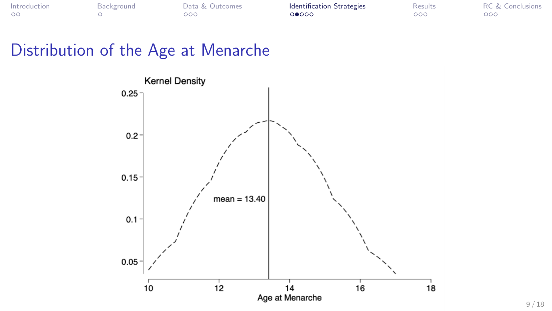| Introduction | Background | Data & Outcomes | <b>Identification Strategies</b> | Results | <b>RC &amp; Conclusions</b> |
|--------------|------------|-----------------|----------------------------------|---------|-----------------------------|
| $\sim$       |            | OOC             | ೧೦೧∩೦                            | 000     | ೧೧೧                         |

## Distribution of the Age at Menarche

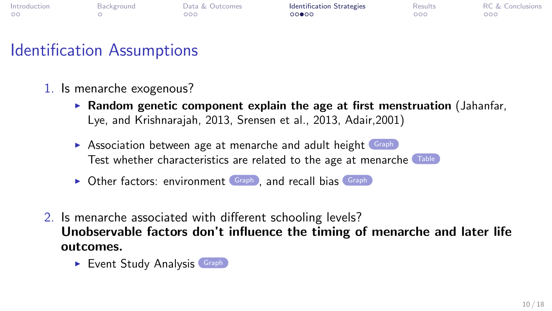| Introduction | Background | Data & Outcomes | <b>Identification Strategies</b> | Results | <b>RC &amp; Conclusions</b> |
|--------------|------------|-----------------|----------------------------------|---------|-----------------------------|
| $\circ$      |            | 000             | 00000                            | 000c    | $200^\circ$                 |

## Identification Assumptions

- <span id="page-9-0"></span>1. Is menarche exogenous?
	- **Random genetic component explain the age at first menstruation** (Jahanfar, Lye, and Krishnarajah, 2013, Srensen et al., 2013, Adair,2001)
	- $\triangleright$  Association between age at menarche and adult height [Graph](#page-32-0) Test whether characteristics are related to the age at menarche [Table](#page-33-0)
	- $\triangleright$  Other factors: environment [Graph](#page-35-0) , and recall bias Graph
- 2. Is menarche associated with different schooling levels? Unobservable factors don't influence the timing of menarche and later life outcomes.
	- $\blacktriangleright$  Event Study Analysis [Graph](#page-37-0)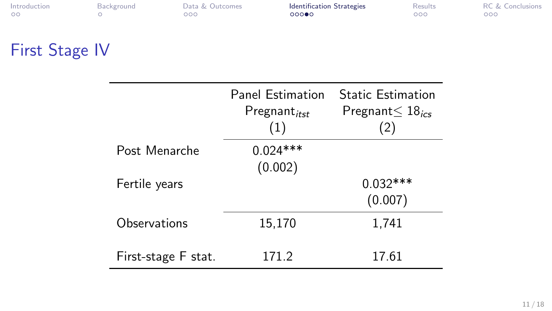| Introduction | Background | Data & Outcomes | <b>Identification Strategies</b> | Results | <b>RC &amp; Conclusions</b> |
|--------------|------------|-----------------|----------------------------------|---------|-----------------------------|
| $\circ$      |            | റററ             | 00000                            | 000     | 000                         |
|              |            |                 |                                  |         |                             |

# First Stage IV

|                     | <b>Panel Estimation</b><br>Pregnant <sub>itst</sub><br>(1) | <b>Static Estimation</b><br>Pregnant $\leq 18$ <sub>ics</sub><br>(2) |
|---------------------|------------------------------------------------------------|----------------------------------------------------------------------|
| Post Menarche       | $0.024***$<br>(0.002)                                      |                                                                      |
| Fertile years       |                                                            | $0.032***$<br>(0.007)                                                |
| Observations        | 15,170                                                     | 1,741                                                                |
| First-stage F stat. | 171.2                                                      | 17.61                                                                |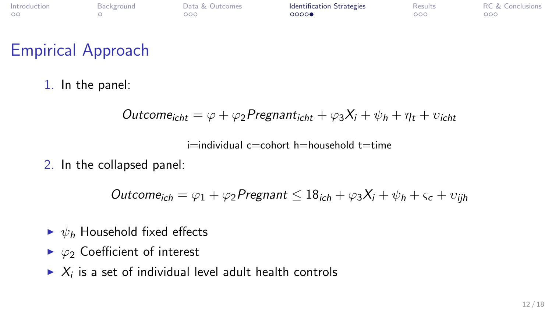| Introduction | Background | Data & Outcomes | <b>Identification Strategies</b> | <b>Results</b> | <b>RC &amp; Conclusions</b> |
|--------------|------------|-----------------|----------------------------------|----------------|-----------------------------|
| $\circ$      |            | 000             | 0000                             | 000            | 000                         |

## Empirical Approach

1. In the panel:

$$
Outcome_{icht} = \varphi + \varphi_2 Programt_{icht} + \varphi_3 X_i + \psi_h + \eta_t + v_{icht}
$$

 $i=$ individual c $=$ cohort h $=$ household t $=$ time

2. In the collapsed panel:

Outcome<sub>ich</sub> =  $\varphi_1 + \varphi_2$ Pregnant  $\leq 18_{ich} + \varphi_3 X_i + \psi_h + \varsigma_c + \upsilon_{ih}$ 

- $\blacktriangleright \psi_h$  Household fixed effects
- $\triangleright \varphi_2$  Coefficient of interest
- $\blacktriangleright$   $X_i$  is a set of individual level adult health controls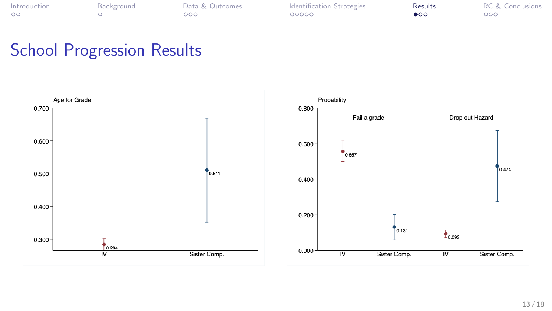<span id="page-12-0"></span>

| ntroduction |  |
|-------------|--|
| ററ          |  |

**Internal [Background](#page-3-0)** [Data & Outcomes](#page-4-0) [Identification Strategies](#page-7-0) **[Results](#page-12-0)** [RC & Conclusions](#page-15-0)<br>
Results RC & Conclusions<br>
Results RC & Conclusions

## School Progression Results

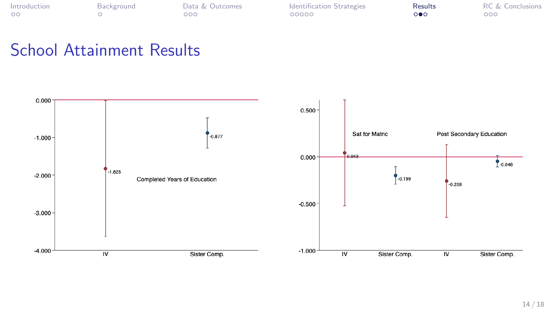| ntroduction | Backgr |
|-------------|--------|
| DС          |        |

[Introduction](#page-1-0) [Background](#page-3-0) [Data & Outcomes](#page-4-0) [Identification Strategies](#page-7-0) [Results](#page-12-0) [RC & Conclusions](#page-15-0)

#### School Attainment Results

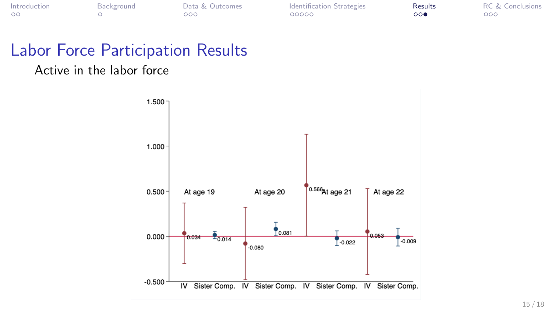|    | ntroduction |  |
|----|-------------|--|
| nn |             |  |

**Internal [Background](#page-3-0)** [Data & Outcomes](#page-4-0) [Identification Strategies](#page-7-0) **[Results](#page-12-0)** [RC & Conclusions](#page-15-0)<br>
Results RC & Conclusions<br>
Results RC & Conclusions

## Labor Force Participation Results

#### Active in the labor force

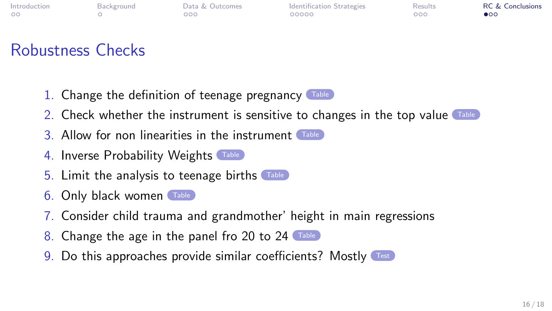<span id="page-15-0"></span>

| Introduction | Background | Data & Outcomes | <b>Identification Strategies</b> | <b>Results</b> | <b>RC &amp; Conclusions</b> |
|--------------|------------|-----------------|----------------------------------|----------------|-----------------------------|
|              |            | 000             | 00000                            | 000            | $\bullet$ 00                |

# Robustness Checks

<span id="page-15-1"></span>1. Change the definition of teenage pregnancy [Table](#page-40-0)



- 2. Check whether the instrument is sensitive to changes in the top value [Table](#page-39-0)
- 3. Allow for non linearities in the instrument [Table](#page-31-0)
- 4. Inverse Probability Weights [Table](#page-41-0)
- 5. Limit the analysis to teenage births [Table](#page-30-0)
- 6. Only black women [Table](#page-45-0)
- 7. Consider child trauma and grandmother' height in main regressions
- 8. Change the age in the panel fro 20 to 24 ([Table](#page-44-0))
- 9. Do this approaches provide similar coefficients? Mostly [Test](#page-42-0)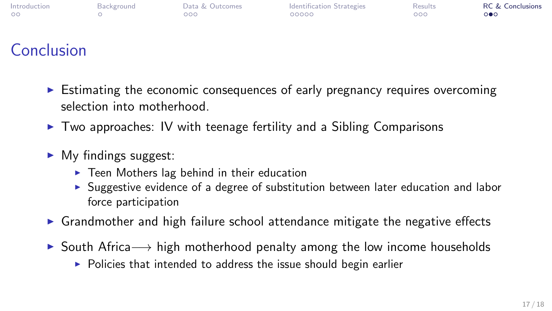| Introduction | Background | Data & Outcomes | Identification Strategies | Results | <b>RC &amp; Conclusions</b> |
|--------------|------------|-----------------|---------------------------|---------|-----------------------------|
| $\circ$      |            | 000             | 00000                     | 000     | ்∙்                         |
|              |            |                 |                           |         |                             |

# Conclusion

- $\triangleright$  Estimating the economic consequences of early pregnancy requires overcoming selection into motherhood.
- $\triangleright$  Two approaches: IV with teenage fertility and a Sibling Comparisons
- $\blacktriangleright$  My findings suggest:
	- $\triangleright$  Teen Mothers lag behind in their education
	- $\triangleright$  Suggestive evidence of a degree of substitution between later education and labor force participation
- $\triangleright$  Grandmother and high failure school attendance mitigate the negative effects
- **► South Africa**  $\rightarrow$  high motherhood penalty among the low income households
	- $\triangleright$  Policies that intended to address the issue should begin earlier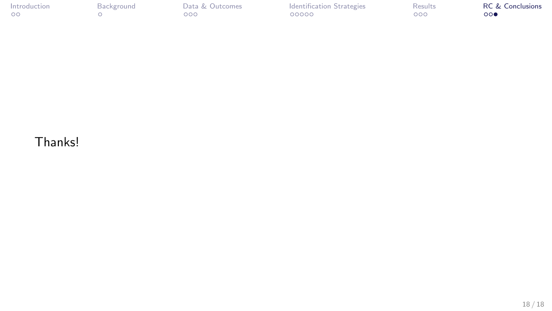| Introduction | Background | Data & Outcomes | <b>Identification Strategies</b> | Results | <b>RC &amp; Conclusions</b> |
|--------------|------------|-----------------|----------------------------------|---------|-----------------------------|
| $\circ$      |            | $000-$          | 00000                            | 000     | 000                         |

#### Thanks!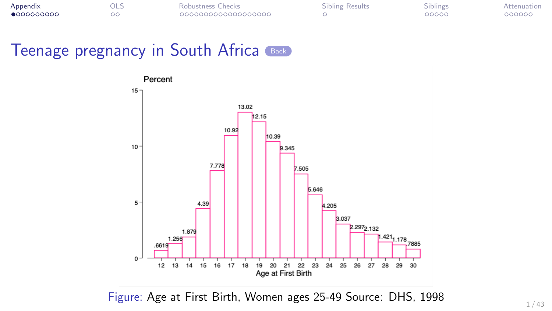<span id="page-18-1"></span><span id="page-18-0"></span>

| Appendix    | มเว | Robustness Checks  | Sibling Results | Siblings | Attenuation |
|-------------|-----|--------------------|-----------------|----------|-------------|
| •0000000000 |     | 000000000000000000 |                 | 00000    | 000000      |



Figure: Age at First Birth, Women ages 25-49 Source: DHS, 1998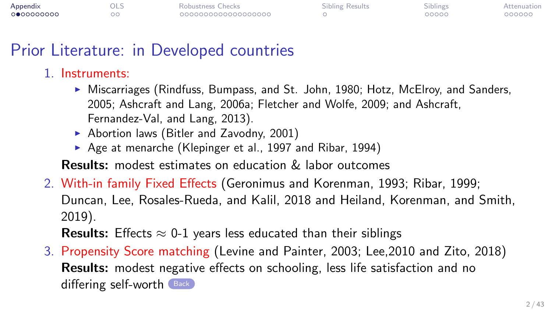| Appendix   | - OL: | Robustness Checks  | <b>Sibling Results</b> | Siblings | Attenuation |
|------------|-------|--------------------|------------------------|----------|-------------|
| 0000000000 |       | 000000000000000000 |                        | 00000    | 000000      |

#### Prior Literature: in Developed countries

#### <span id="page-19-0"></span>1. Instruments:

- $\triangleright$  Miscarriages (Rindfuss, Bumpass, and St. John, 1980; Hotz, McElroy, and Sanders, 2005; Ashcraft and Lang, 2006a; Fletcher and Wolfe, 2009; and Ashcraft, Fernandez-Val, and Lang, 2013).
- $\blacktriangleright$  Abortion laws (Bitler and Zavodny, 2001)
- Age at menarche (Klepinger et al., 1997 and Ribar, 1994)

Results: modest estimates on education & labor outcomes

2. With-in family Fixed Effects (Geronimus and Korenman, 1993; Ribar, 1999; Duncan, Lee, Rosales-Rueda, and Kalil, 2018 and Heiland, Korenman, and Smith, 2019).

**Results:** Effects  $\approx$  0-1 years less educated than their siblings

3. Propensity Score matching (Levine and Painter, 2003; Lee,2010 and Zito, 2018) Results: modest negative effects on schooling, less life satisfaction and no differing self-worth  $\left($  [Back](#page-47-0)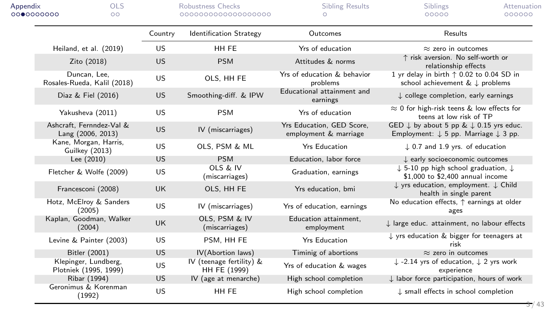| Appendix<br>000000000 |                                               | <b>OLS</b><br>OΟ |           | Robustness Checks<br>000000000000000000  | <b>Sibling Results</b><br>⌒                        | Siblings<br>Attenuation<br>000000<br>00000                                                                                 |
|-----------------------|-----------------------------------------------|------------------|-----------|------------------------------------------|----------------------------------------------------|----------------------------------------------------------------------------------------------------------------------------|
|                       |                                               |                  | Country   | <b>Identification Strategy</b>           | Outcomes                                           | Results                                                                                                                    |
|                       | Heiland, et al. (2019)                        |                  | <b>US</b> | HH FE                                    | Yrs of education                                   | $\approx$ zero in outcomes                                                                                                 |
|                       | Zito (2018)                                   |                  | <b>US</b> | <b>PSM</b>                               | Attitudes & norms                                  | ↑ risk aversion. No self-worth or<br>relationship effects                                                                  |
|                       | Duncan. Lee.<br>Rosales-Rueda, Kalil (2018)   |                  | <b>US</b> | OLS, HH FE                               | Yrs of education & behavior<br>problems            | 1 yr delay in birth $\uparrow$ 0.02 to 0.04 SD in<br>school achievement & ↓ problems                                       |
|                       | Diaz & Fiel (2016)                            |                  | <b>US</b> | Smoothing-diff. & IPW                    | Educational attainment and<br>earnings             | L college completion, early earnings                                                                                       |
|                       | Yakusheva (2011)                              |                  | <b>US</b> | <b>PSM</b>                               | Yrs of education                                   | $\approx$ 0 for high-risk teens & low effects for<br>teens at low risk of TP                                               |
|                       | Ashcraft, Fernndez-Val &<br>Lang (2006, 2013) |                  | <b>US</b> | IV (miscarriages)                        | Yrs Education, GED Score,<br>employment & marriage | GED $\downarrow$ by about 5 pp & $\downarrow$ 0.15 yrs educ.<br>Employment: $\downarrow$ 5 pp. Marriage $\downarrow$ 3 pp. |
|                       | Kane, Morgan, Harris,<br>Guilkey (2013)       |                  | <b>US</b> | OLS, PSM & ML                            | <b>Yrs Education</b>                               | $\downarrow$ 0.7 and 1.9 yrs. of education                                                                                 |
|                       | Lee $(2010)$                                  |                  | <b>US</b> | <b>PSM</b>                               | Education, labor force                             | L early socioeconomic outcomes                                                                                             |
|                       | Fletcher & Wolfe (2009)                       |                  | <b>US</b> | OLS & IV<br>(miscarriages)               | Graduation, earnings                               | $\downarrow$ 5-10 pp high school graduation, $\downarrow$<br>\$1,000 to \$2,400 annual income                              |
|                       | Francesconi (2008)                            |                  | <b>UK</b> | OLS, HH FE                               | Yrs education, bmi                                 | $\downarrow$ yrs education, employment. $\downarrow$ Child<br>health in single parent                                      |
|                       | Hotz, McElroy & Sanders<br>(2005)             |                  | <b>US</b> | IV (miscarriages)                        | Yrs of education, earnings                         | No education effects, $\uparrow$ earnings at older<br>ages                                                                 |
|                       | Kaplan, Goodman, Walker<br>(2004)             |                  | <b>UK</b> | OLS. PSM & IV<br>(miscarriages)          | Education attainment,<br>employment                | I large educ. attainment, no labour effects                                                                                |
|                       | Levine & Painter (2003)                       |                  | <b>US</b> | PSM. HH FE                               | <b>Yrs Education</b>                               | $\downarrow$ yrs education & bigger for teenagers at<br>risk                                                               |
|                       | Bitler (2001)                                 |                  | <b>US</b> | IV(Abortion laws)                        | Timinig of abortions                               | $\approx$ zero in outcomes                                                                                                 |
|                       | Klepinger, Lundberg,<br>Plotniek (1995, 1999) |                  | <b>US</b> | IV (teenage fertility) &<br>HH FE (1999) | Yrs of education & wages                           | $\downarrow$ -2.14 yrs of education, $\downarrow$ 2 yrs work<br>experience                                                 |
|                       | Ribar (1994)                                  |                  | <b>US</b> | IV (age at menarche)                     | High school completion                             | $\downarrow$ labor force participation, hours of work                                                                      |
|                       | Geronimus & Korenman<br>(1992)                |                  | <b>US</b> | HH FE                                    | High school completion                             | $\downarrow$ small effects in school completion                                                                            |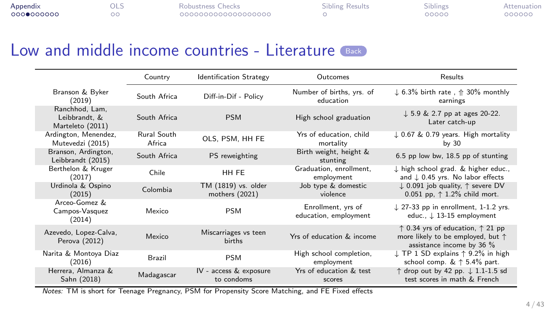| Appendix  | - ULJ | Robustness Checks  | Sibling Results | ----<br><b>Siblings</b> | Attenuation |
|-----------|-------|--------------------|-----------------|-------------------------|-------------|
| 000000000 |       | 000000000000000000 |                 | 00000                   | 000000      |

<span id="page-21-0"></span>

|                                                     | Country               | <b>Identification Strategy</b>        | Outcomes                                    | Results                                                                                                                         |
|-----------------------------------------------------|-----------------------|---------------------------------------|---------------------------------------------|---------------------------------------------------------------------------------------------------------------------------------|
| Branson & Byker<br>(2019)                           | South Africa          | Diff-in-Dif - Policy                  | Number of births, yrs. of<br>education      | $\downarrow$ 6.3% birth rate, $\uparrow$ 30% monthly<br>earnings                                                                |
| Ranchhod, Lam,<br>Leibbrandt. &<br>Marteleto (2011) | South Africa          | <b>PSM</b>                            | High school graduation                      | $\downarrow$ 5.9 & 2.7 pp at ages 20-22.<br>Later catch-up                                                                      |
| Ardington, Menendez,<br>Mutevedzi (2015)            | Rural South<br>Africa | OLS. PSM. HH FE                       | Yrs of education, child<br>mortality        | $\downarrow$ 0.67 & 0.79 years. High mortality<br>by $30$                                                                       |
| Branson, Ardington,<br>Leibbrandt (2015)            | South Africa          | PS reweighting                        | Birth weight, height &<br>stunting          | 6.5 pp low bw, 18.5 pp of stunting                                                                                              |
| Berthelon & Kruger<br>(2017)                        | Chile                 | HH FE                                 | Graduation, enrollment,<br>employment       | $\downarrow$ high school grad. & higher educ.,<br>and $\downarrow$ 0.45 yrs. No labor effects                                   |
| Urdinola & Ospino<br>(2015)                         | Colombia              | TM (1819) vs. older<br>mothers (2021) | Job type & domestic<br>violence             | $\downarrow$ 0.091 job quality, $\uparrow$ severe DV<br>0.051 pp. $\uparrow$ 1.2% child mort.                                   |
| Arceo-Gomez &<br>Campos-Vasquez<br>(2014)           | Mexico                | <b>PSM</b>                            | Enrollment, yrs of<br>education, employment | $\downarrow$ 27-33 pp in enrollment, 1-1.2 yrs.<br>educ., $\downarrow$ 13-15 employment                                         |
| Azevedo, Lopez-Calva,<br>Perova (2012)              | Mexico                | Miscarriages vs teen<br><b>births</b> | Yrs of education & income                   | $\uparrow$ 0.34 yrs of education, $\uparrow$ 21 pp<br>more likely to be employed, but $\uparrow$<br>assistance income by 36 $%$ |
| Narita & Montoya Diaz<br>(2016)                     | <b>Brazil</b>         | <b>PSM</b>                            | High school completion,<br>employment       | $\downarrow$ TP 1 SD explains $\uparrow$ 9.2% in high<br>school comp. $\&$ $\uparrow$ 5.4% part.                                |
| Herrera, Almanza &<br>Sahn (2018)                   | Madagascar            | IV - access & exposure<br>to condoms  | Yrs of education & test<br>scores           | ↑ drop out by 42 pp. ↓ 1.1-1.5 sd<br>test scores in math & French                                                               |

Notes: TM is short for Teenage Pregnancy, PSM for Propensity Score Matching, and FE Fixed effects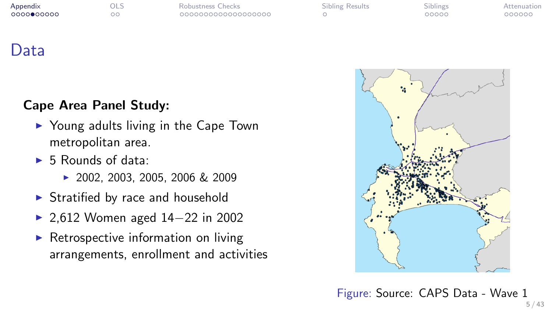| Appendix   |  |
|------------|--|
| 0000000000 |  |

| Appendix   | OLS | Robustness Checks  | <b>Sibling Results</b> | <b>Siblings</b> | Attenuation |
|------------|-----|--------------------|------------------------|-----------------|-------------|
| 0000000000 | - - | 000000000000000000 |                        | 00000           | 000000      |

| <b>Sibling Results</b> |  |
|------------------------|--|
|                        |  |

## <span id="page-22-0"></span>Data

#### Cape Area Panel Study:

- $\triangleright$  Young adults living in the Cape Town metropolitan area.
- $\blacktriangleright$  5 Rounds of data:
	- 2002, 2003, 2005, 2006 & 2009
- $\triangleright$  Stratified by race and household
- 2,612 Women aged 14–22 in 2002
- $\triangleright$  Retrospective information on living arrangements, enrollment and activities



Figure: Source: CAPS Data - Wave 1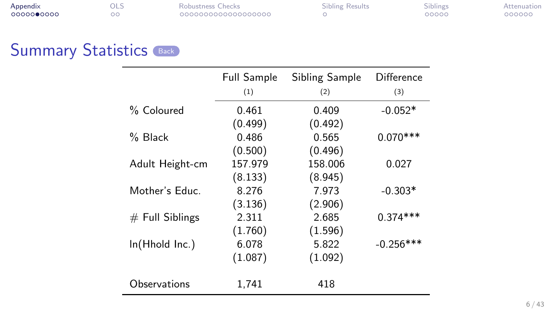<span id="page-23-0"></span>

| Appendix   | OLS | Robustness Checks  | <b>Sibling Results</b> | Siblings | Attenuation |
|------------|-----|--------------------|------------------------|----------|-------------|
| 0000000000 |     | 000000000000000000 |                        | 00000    | 000000      |

| Robustness Checks |                     |
|-------------------|---------------------|
|                   | 0000000000000000000 |

|                   | Full Sample | Sibling Sample | Difference  |
|-------------------|-------------|----------------|-------------|
|                   | (1)         | (2)            | (3)         |
| % Coloured        | 0.461       | 0.409          | $-0.052*$   |
|                   | (0.499)     | (0.492)        |             |
| % Black           | 0.486       | 0.565          | $0.070***$  |
|                   | (0.500)     | (0.496)        |             |
| Adult Height-cm   | 157.979     | 158.006        | 0.027       |
|                   | (8.133)     | (8.945)        |             |
| Mother's Educ.    | 8.276       | 7.973          | $-0.303*$   |
|                   | (3.136)     | (2.906)        |             |
| $#$ Full Siblings | 2.311       | 2.685          | $0.374***$  |
|                   | (1.760)     | (1.596)        |             |
| ln(Hhold Inc.)    | 6.078       | 5.822          | $-0.256***$ |
|                   | (1.087)     | (1.092)        |             |
| Observations      | 1.741       | 418            |             |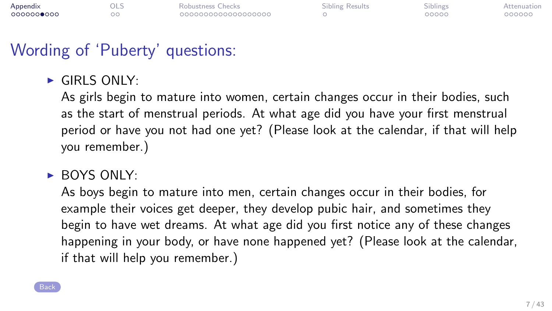| Appendix   | OLS | Robustness Checks  | <b>Sibling Results</b> | Siblings | Attenuation |
|------------|-----|--------------------|------------------------|----------|-------------|
| 0000000000 |     | 000000000000000000 |                        | 00000    | 000000      |

## Wording of 'Puberty' questions:

<span id="page-24-0"></span> $\blacktriangleright$  GIRLS ONLY:

As girls begin to mature into women, certain changes occur in their bodies, such as the start of menstrual periods. At what age did you have your first menstrual period or have you not had one yet? (Please look at the calendar, if that will help you remember.)

 $\triangleright$  BOYS ONLY:

As boys begin to mature into men, certain changes occur in their bodies, for example their voices get deeper, they develop pubic hair, and sometimes they begin to have wet dreams. At what age did you first notice any of these changes happening in your body, or have none happened yet? (Please look at the calendar, if that will help you remember.)

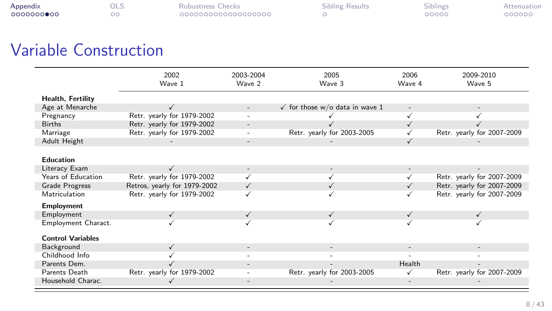| Appendix   | OLS | Robustness Checks  | Sibling Results | <b>Siblings</b> | Attenuation |
|------------|-----|--------------------|-----------------|-----------------|-------------|
| 0000000000 |     | 000000000000000000 |                 | 00000           | 000000      |

# Variable Construction

|                          | 2002<br>Wave 1               | 2003-2004<br>Wave 2 | 2005<br>Wave 3                            | 2006<br>Wave 4           | 2009-2010<br>Wave 5        |
|--------------------------|------------------------------|---------------------|-------------------------------------------|--------------------------|----------------------------|
| Health, Fertility        |                              |                     |                                           |                          |                            |
| Age at Menarche          |                              |                     | $\checkmark$ for those w/o data in wave 1 | $\overline{\phantom{a}}$ |                            |
| Pregnancy                | Retr. yearly for 1979-2002   |                     |                                           | ✓                        |                            |
| <b>Births</b>            | Retr. yearly for 1979-2002   |                     |                                           |                          |                            |
| Marriage                 | Retr. yearly for 1979-2002   |                     | Retr. yearly for 2003-2005                | √                        | Retr. yearly for 2007-2009 |
| Adult Height             |                              |                     |                                           | ✓                        |                            |
|                          |                              |                     |                                           |                          |                            |
| Education                |                              |                     |                                           |                          |                            |
| Literacy Exam            |                              |                     |                                           |                          |                            |
| Years of Education       | Retr. yearly for 1979-2002   |                     |                                           |                          | Retr. yearly for 2007-2009 |
| Grade Progress           | Retros, yearly for 1979-2002 | ✓                   |                                           | ✓                        | Retr. yearly for 2007-2009 |
| Matriculation            | Retr. yearly for 1979-2002   |                     |                                           |                          | Retr. yearly for 2007-2009 |
| <b>Employment</b>        |                              |                     |                                           |                          |                            |
| Employment               | $\checkmark$                 | ✓                   | $\checkmark$                              | ✓                        |                            |
| Employment Charact.      |                              |                     |                                           |                          |                            |
| <b>Control Variables</b> |                              |                     |                                           |                          |                            |
| Background               | $\checkmark$                 |                     |                                           |                          |                            |
| Childhood Info           |                              |                     |                                           |                          |                            |
| Parents Dem.             |                              |                     |                                           | Health                   |                            |
| Parents Death            | Retr. yearly for 1979-2002   |                     | Retr. yearly for 2003-2005                | ✓                        | Retr. yearly for 2007-2009 |
| Household Charac.        | ✓                            |                     |                                           |                          |                            |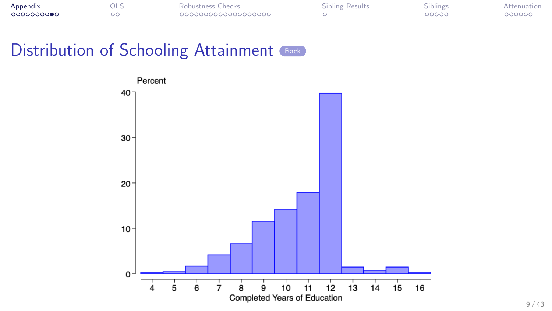<span id="page-26-0"></span>

| Appendix   | OLS | Robustness Checks  | Sibling Results | Siblings | Attenuation |
|------------|-----|--------------------|-----------------|----------|-------------|
| 0000000000 |     | 000000000000000000 |                 | 00000    | 000000      |



9 / 43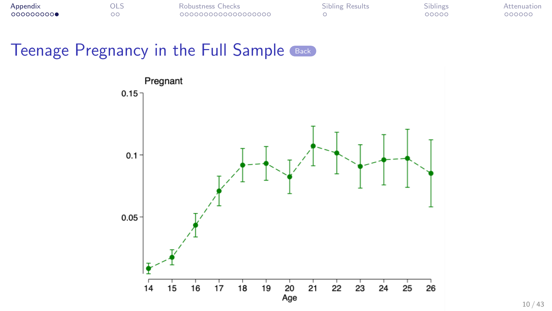<span id="page-27-0"></span>

| Appendix  | มเว | Robustness Checks   | Sibling Results | Siblings | Attenuation |
|-----------|-----|---------------------|-----------------|----------|-------------|
| 000000000 |     | 0000000000000000000 |                 | 00000    | 000000      |



10 / 43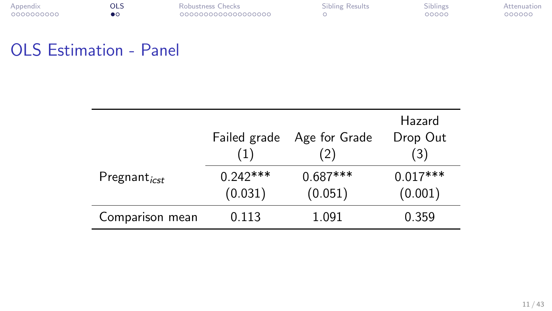<span id="page-28-0"></span>

| Appendix   | OLS | Robustness Checks  | Sibling Results | Siblings | Attenuation |
|------------|-----|--------------------|-----------------|----------|-------------|
| 0000000000 |     | 000000000000000000 |                 | 00000    | 000000      |

| Robustness Checks |
|-------------------|
| 00000000000000000 |

## OLS Estimation - Panel

|                          | Failed grade<br>(1)   | Age for Grade<br>(2)  | Hazard<br>Drop Out<br>(3) |
|--------------------------|-----------------------|-----------------------|---------------------------|
| Pregnant <sub>icst</sub> | $0.242***$<br>(0.031) | $0.687***$<br>(0.051) | $0.017***$<br>(0.001)     |
| Comparison mean          | 0.113                 | 1.091                 | 0.359                     |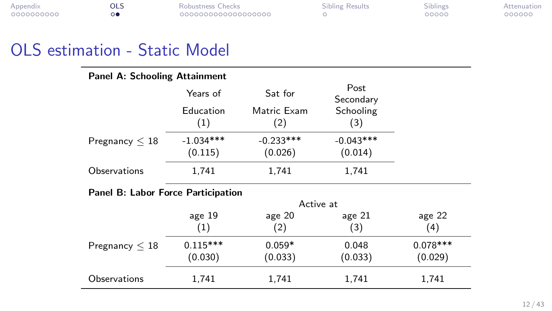| Appendix   | OLS | Robustness Checks  | Sibling Results | Siblings | Attenuation |
|------------|-----|--------------------|-----------------|----------|-------------|
| 0000000000 |     | 000000000000000000 |                 | 00000    | 000000      |

| Sibling Results |
|-----------------|
|                 |

## OLS estimation - Static Model

#### Panel A: Schooling Attainment

|                     | Years of    | Sat for     | Post<br>Secondary |
|---------------------|-------------|-------------|-------------------|
|                     | Education   | Matric Exam | Schooling         |
|                     | (1)         | (2)         | (3)               |
| Pregnancy $\leq 18$ | $-1.034***$ | $-0.233***$ | $-0.043***$       |
|                     | (0.115)     | (0.026)     | (0.014)           |
| Observations        | 1,741       | 1,741       | 1.741             |

#### Panel B: Labor Force Participation

|                     | Active at  |          |          |            |  |
|---------------------|------------|----------|----------|------------|--|
|                     | age $19$   | age 20   | age $21$ | age $22$   |  |
|                     | (1)        | (2)      | (3)      | (4)        |  |
| Pregnancy $\leq 18$ | $0.115***$ | $0.059*$ | 0.048    | $0.078***$ |  |
|                     | (0.030)    | (0.033)  | (0.033)  | (0.029)    |  |
| Observations        | 1,741      | 1,741    | 1,741    | 1,741      |  |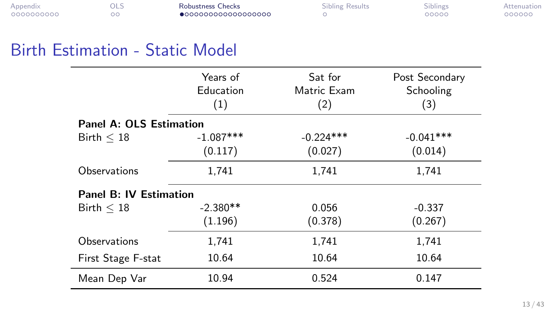<span id="page-30-1"></span>

| Appendix   | 9LS | Robustness Checks            | Sibling Results | Siblings | Attenuation |
|------------|-----|------------------------------|-----------------|----------|-------------|
| 0000000000 | - - | $\bullet$ 000000000000000000 |                 | 00000    | 000000      |

## <span id="page-30-0"></span>Birth Estimation - Static Model

|                                | Years of<br>Education<br>(1) | Sat for<br>Matric Exam<br>(2) | Post Secondary<br>Schooling<br>(3) |
|--------------------------------|------------------------------|-------------------------------|------------------------------------|
| <b>Panel A: OLS Estimation</b> |                              |                               |                                    |
| Birth $<$ 18                   | $-1.087***$                  | $-0.224***$                   | $-0.041***$                        |
|                                | (0.117)                      | (0.027)                       | (0.014)                            |
| Observations                   | 1,741                        | 1,741                         | 1,741                              |
| Panel B: IV Estimation         |                              |                               |                                    |
| Birth $\leq 18$                | $-2.380**$                   | 0.056                         | $-0.337$                           |
|                                | (1.196)                      | (0.378)                       | (0.267)                            |
| Observations                   | 1,741                        | 1,741                         | 1,741                              |
| First Stage F-stat             | 10.64                        | 10.64                         | 10.64                              |
| Mean Dep Var                   | 10.94                        | 0.524                         | 0.147                              |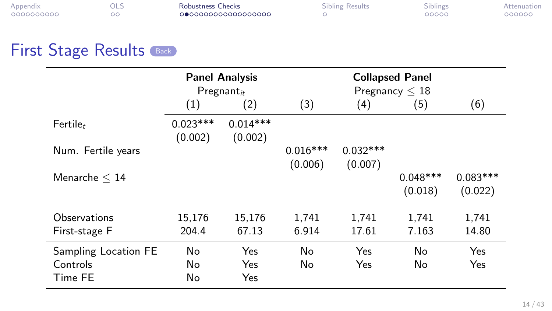| Appendix   | มเว | Robustness Checks  | Sibling Results | <b>Siblings</b> | Attenuation |
|------------|-----|--------------------|-----------------|-----------------|-------------|
| 0000000000 |     | 000000000000000000 |                 | 00000           | 000000      |

| Robustness Checks |  |
|-------------------|--|
| 000000000000      |  |

<span id="page-31-0"></span>

|                                             |                       | <b>Panel Analysis</b><br>$Pregnant_{it}$ |                       |                       | <b>Collapsed Panel</b><br>Pregnancy $\leq 18$ |                       |  |
|---------------------------------------------|-----------------------|------------------------------------------|-----------------------|-----------------------|-----------------------------------------------|-----------------------|--|
|                                             | $\left(1\right)$      | (2)                                      | (3)                   | (4)                   | (5)                                           | (6)                   |  |
| Fertile <sub>t</sub>                        | $0.023***$<br>(0.002) | $0.014***$<br>(0.002)                    |                       |                       |                                               |                       |  |
| Num. Fertile years                          |                       |                                          | $0.016***$<br>(0.006) | $0.032***$<br>(0.007) |                                               |                       |  |
| Menarche $\leq 14$                          |                       |                                          |                       |                       | $0.048***$<br>(0.018)                         | $0.083***$<br>(0.022) |  |
| Observations                                | 15,176                | 15,176                                   | 1,741                 | 1.741                 | 1.741                                         | 1,741                 |  |
| First-stage F                               | 204.4                 | 67.13                                    | 6.914                 | 17.61                 | 7.163                                         | 14.80                 |  |
| Sampling Location FE<br>Controls<br>Time FE | No<br>No<br>No        | Yes<br>Yes<br><b>Yes</b>                 | No<br>No              | Yes<br>Yes            | No<br>No                                      | Yes<br>Yes            |  |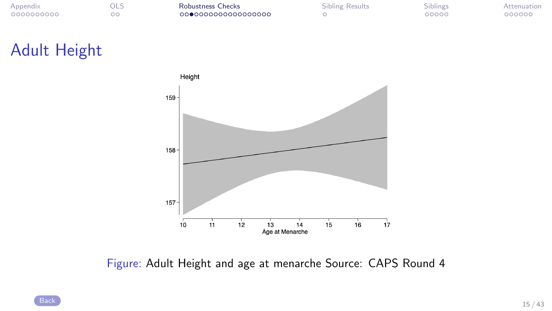| Appendix   | ols | Robustness Checks  | Sibling Results | Siblings | Attenuation |
|------------|-----|--------------------|-----------------|----------|-------------|
| 0000000000 |     | 000000000000000000 |                 | 20000    | 000000      |

| <b>Robustness Checks</b> |
|--------------------------|
| 000000000000000000       |

| Sibling Results |
|-----------------|
|                 |

## <span id="page-32-0"></span>Adult Height



Figure: Adult Height and age at menarche Source: CAPS Round 4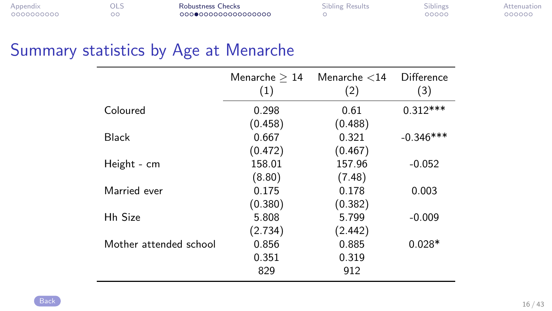| Appendix   | OLS      | Robustness Checks  | Sibling Results | <b>Siblings</b> | Attenuation |
|------------|----------|--------------------|-----------------|-----------------|-------------|
| 0000000000 | - -<br>w | 000000000000000000 |                 | 00000           | 000000      |

## <span id="page-33-0"></span>Summary statistics by Age at Menarche

|                        | Menarche $>14$<br>(1) | Menarche $<$ 14<br>(2) | Difference<br>(3) |
|------------------------|-----------------------|------------------------|-------------------|
| Coloured               | 0.298                 | 0.61                   | $0.312***$        |
|                        | (0.458)               | (0.488)                |                   |
| <b>Black</b>           | 0.667                 | 0.321                  | $-0.346***$       |
|                        | (0.472)               | (0.467)                |                   |
| Height - cm            | 158.01                | 157.96                 | $-0.052$          |
|                        | (8.80)                | (7.48)                 |                   |
| Married ever           | 0.175                 | 0.178                  | 0.003             |
|                        | (0.380)               | (0.382)                |                   |
| <b>Hh Size</b>         | 5.808                 | 5.799                  | $-0.009$          |
|                        | (2.734)               | (2.442)                |                   |
| Mother attended school | 0.856                 | 0.885                  | $0.028*$          |
|                        | 0.351                 | 0.319                  |                   |
|                        | 829                   | 912                    |                   |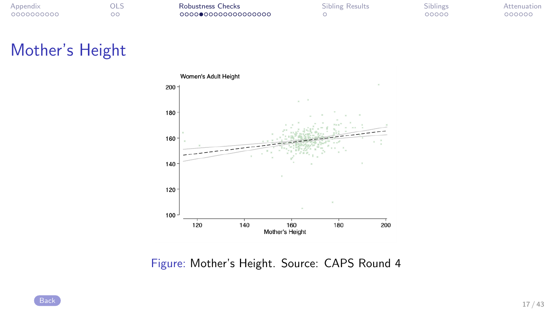| Appendix   | ols | Robustness Checks  | Sibling Results | Siblings | Attenuation |
|------------|-----|--------------------|-----------------|----------|-------------|
| 0000000000 |     | 000000000000000000 |                 | 20000    | 000000      |

| <b>Robustness Checks</b> |                    |
|--------------------------|--------------------|
|                          | 000000000000000000 |

## Mother's Height



Figure: Mother's Height. Source: CAPS Round 4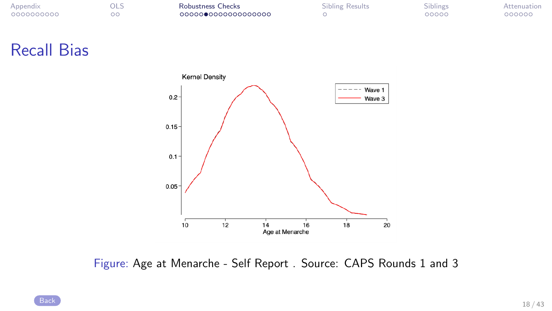| Appendix   | OLS | Robustness Checks  | Sibling Results | Siblings | Attenuation |
|------------|-----|--------------------|-----------------|----------|-------------|
| 0000000000 | - - | 000000000000000000 |                 | 00000    | 000000      |

| Robustness Checks  |  |
|--------------------|--|
| 000000000000000000 |  |

| Sibling Results |
|-----------------|
|                 |

#### <span id="page-35-0"></span>Recall Bias



Figure: Age at Menarche - Self Report . Source: CAPS Rounds 1 and 3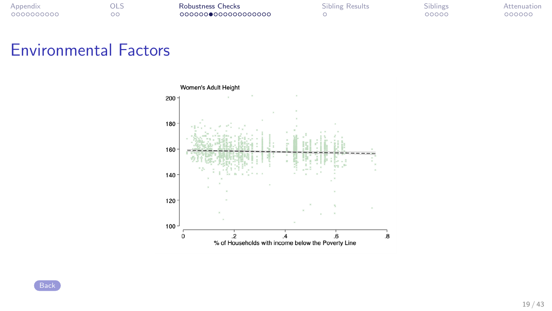| Appendix   | ols | Robustness Checks  | <b>Sibling Results</b> | Siblings | Attenuation |
|------------|-----|--------------------|------------------------|----------|-------------|
| 0000000000 |     | 000000000000000000 |                        | 00000    | 000000      |

| <b>Robustness Checks</b> |
|--------------------------|
| 000000000000000000       |

## <span id="page-36-0"></span>Environmental Factors

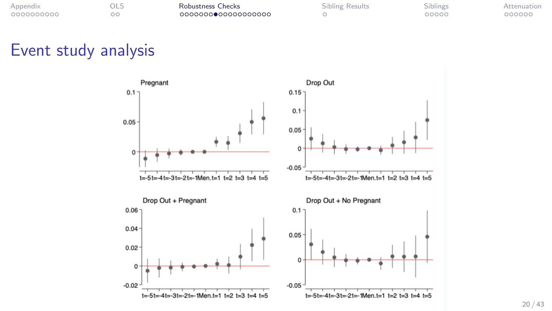| Appendix   | ols | Robustness Checks  | Sibling Results | Siblings | Attenuation |
|------------|-----|--------------------|-----------------|----------|-------------|
| 0000000000 |     | 000000000000000000 |                 | 20000    | 000000      |

| iess Checks |                |
|-------------|----------------|
|             | 00●00000000000 |

| Sibling Results |  |
|-----------------|--|
|                 |  |

#### <span id="page-37-0"></span>Event study analysis

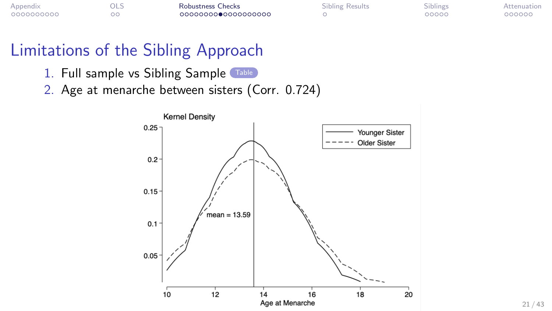| Appendix   | Robustness Checks  | Sibling Results | <b>Siplings</b> | Attenuation |
|------------|--------------------|-----------------|-----------------|-------------|
| 0000000000 | 000000000000000000 |                 | 20000           | 000000      |

## Limitations of the Sibling Approach

- <span id="page-38-0"></span>1. Full sample vs Sibling Sample [Table](#page-23-0)
- 2. Age at menarche between sisters (Corr. 0.724)



21 / 43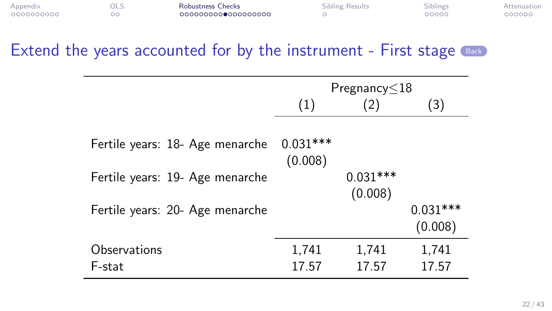| Appendix   | OLS | Robustness Checks   | <b>Sibling Results</b> | <b>Siblings</b> | Attenuation |
|------------|-----|---------------------|------------------------|-----------------|-------------|
| 0000000000 |     | 0000000000000000000 |                        | 00000           | 000000      |

<span id="page-39-0"></span>

|                                                                                                       |                       | Pregnancy $\leq$ 18   |                       |
|-------------------------------------------------------------------------------------------------------|-----------------------|-----------------------|-----------------------|
|                                                                                                       | (1)                   | 2)                    | (3)                   |
| Fertile years: 18- Age menarche<br>Fertile years: 19- Age menarche<br>Fertile years: 20- Age menarche | $0.031***$<br>(0.008) | $0.031***$<br>(0.008) | $0.031***$<br>(0.008) |
| Observations<br>F-stat                                                                                | 1,741<br>17.57        | 1,741<br>17.57        | 1,741<br>17.57        |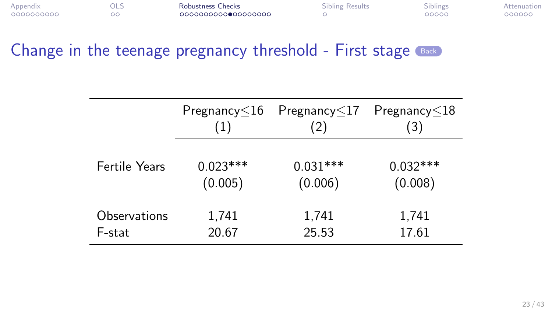| Appendix   | ols | Robustness Checks   | <b>Sibling Results</b> | <b>Siblings</b> | Attenuation |
|------------|-----|---------------------|------------------------|-----------------|-------------|
| 0000000000 |     | 0000000000000000000 |                        | 00000           | 000000      |

<span id="page-40-0"></span>

|                      | Pregnancy $\leq$ 16 | Pregnancy $\leq$ 17 | Pregnancy $\leq$ 18 |
|----------------------|---------------------|---------------------|---------------------|
|                      | (1)                 | (2)                 | (3)                 |
| <b>Fertile Years</b> | $0.023***$          | $0.031***$          | $0.032***$          |
|                      | (0.005)             | (0.006)             | (0.008)             |
| Observations         | 1,741               | 1,741               | 1,741               |
| F-stat               | 20.67               | 25.53               | 17.61               |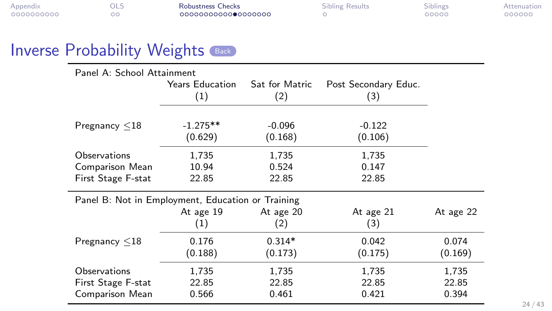| Appendix   | OLS | Robustness Checks   | Sibling Results | <b>Siblings</b> | Attenuation |
|------------|-----|---------------------|-----------------|-----------------|-------------|
| 0000000000 |     | 0000000000000000000 |                 | 00000           | 000000      |

<span id="page-41-0"></span>Panel A: School Attainment

|                                                       | <b>Years Education</b><br>(1) | Sat for Matric<br>(2)   | Post Secondary Educ.<br>(3) |                         |
|-------------------------------------------------------|-------------------------------|-------------------------|-----------------------------|-------------------------|
| Pregnancy $\leq 18$                                   | $-1.275**$<br>(0.629)         | $-0.096$<br>(0.168)     | $-0.122$<br>(0.106)         |                         |
| Observations                                          | 1,735                         | 1,735                   | 1,735                       |                         |
| Comparison Mean                                       | 10.94                         | 0.524                   | 0.147                       |                         |
| First Stage F-stat                                    | 22.85                         | 22.85                   | 22.85                       |                         |
| Panel B: Not in Employment, Education or Training     |                               |                         |                             |                         |
|                                                       | At age 19<br>(1)              | At age 20<br>(2)        | At age 21<br>(3)            | At age 22               |
| Pregnancy $\leq 18$                                   | 0.176<br>(0.188)              | $0.314*$<br>(0.173)     | 0.042<br>(0.175)            | 0.074<br>(0.169)        |
| Observations<br>First Stage F-stat<br>Comparison Mean | 1,735<br>22.85<br>0.566       | 1,735<br>22.85<br>0.461 | 1,735<br>22.85<br>0.421     | 1,735<br>22.85<br>0.394 |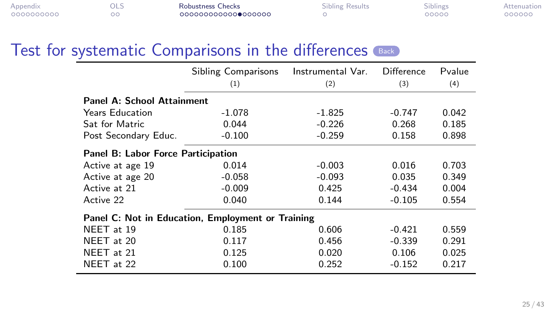| Appendix   | OLS      | Robustness Checks   | Sibling Results | <b>Siblings</b> | Attenuation |
|------------|----------|---------------------|-----------------|-----------------|-------------|
| 0000000000 | - -<br>w | 0000000000000000000 |                 | 00000           | 000000      |

<span id="page-42-0"></span>

|                                                   | <b>Sibling Comparisons</b> | Instrumental Var. | Difference | Pvalue |
|---------------------------------------------------|----------------------------|-------------------|------------|--------|
|                                                   | (1)                        | (2)               | (3)        | (4)    |
| <b>Panel A: School Attainment</b>                 |                            |                   |            |        |
| <b>Years Education</b>                            | $-1.078$                   | $-1.825$          | $-0.747$   | 0.042  |
| Sat for Matric                                    | 0.044                      | $-0.226$          | 0.268      | 0.185  |
| Post Secondary Educ.                              | $-0.100$                   | $-0.259$          | 0.158      | 0.898  |
| Panel B: Labor Force Participation                |                            |                   |            |        |
| Active at age 19                                  | 0.014                      | $-0.003$          | 0.016      | 0.703  |
| Active at age 20                                  | $-0.058$                   | $-0.093$          | 0.035      | 0.349  |
| Active at 21                                      | $-0.009$                   | 0.425             | $-0.434$   | 0.004  |
| Active 22                                         | 0.040                      | 0.144             | $-0.105$   | 0.554  |
| Panel C: Not in Education, Employment or Training |                            |                   |            |        |
| NEET at 19                                        | 0.185                      | 0.606             | $-0.421$   | 0.559  |
| NEET at 20                                        | 0.117                      | 0.456             | $-0.339$   | 0.291  |
| NEET at 21                                        | 0.125                      | 0.020             | 0.106      | 0.025  |
| NEET at 22                                        | 0.100                      | 0.252             | $-0.152$   | 0.217  |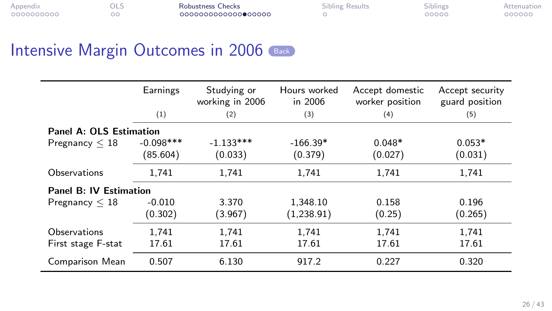| Appendix   | ols | Robustness Checks   | Sibling Results | Siblings | Attenuation |
|------------|-----|---------------------|-----------------|----------|-------------|
| 0000000000 |     | 0000000000000000000 |                 | 20000    | 000000      |

|                         | Earnings    | Studying or<br>working in 2006 | Hours worked<br>in $2006$ | Accept domestic<br>worker position | Accept security<br>guard position |
|-------------------------|-------------|--------------------------------|---------------------------|------------------------------------|-----------------------------------|
|                         | (1)         | (2)                            | (3)                       | (4)                                | (5)                               |
| Panel A: OLS Estimation |             |                                |                           |                                    |                                   |
| Pregnancy $\leq 18$     | $-0.098***$ | $-1.133***$                    | $-166.39*$                | $0.048*$                           | $0.053*$                          |
|                         | (85.604)    | (0.033)                        | (0.379)                   | (0.027)                            | (0.031)                           |
| Observations            | 1.741       | 1,741                          | 1,741                     | 1.741                              | 1,741                             |
| Panel B: IV Estimation  |             |                                |                           |                                    |                                   |
| Pregnancy $\leq 18$     | $-0.010$    | 3.370                          | 1.348.10                  | 0.158                              | 0.196                             |
|                         | (0.302)     | (3.967)                        | (1,238.91)                | (0.25)                             | (0.265)                           |
| Observations            | 1.741       | 1,741                          | 1,741                     | 1.741                              | 1,741                             |
| First stage F-stat      | 17.61       | 17.61                          | 17.61                     | 17.61                              | 17.61                             |
| Comparison Mean         | 0.507       | 6.130                          | 917.2                     | 0.227                              | 0.320                             |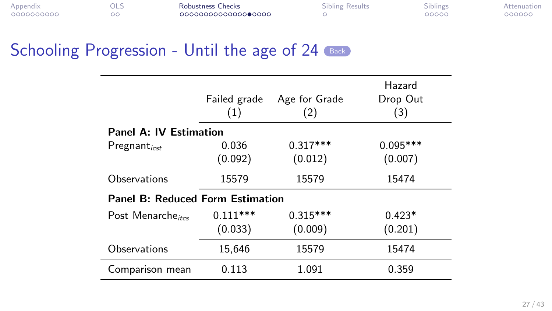<span id="page-44-0"></span>

| Appendix   | OLS | Robustness Checks   | Sibling Results | <b>Siblings</b> | Attenuation |
|------------|-----|---------------------|-----------------|-----------------|-------------|
| 0000000000 |     | 0000000000000000000 |                 | 20000           | 000000      |

| <b>Robustness Checks</b> |                     |
|--------------------------|---------------------|
|                          | 0000000000000000000 |

|                                         | Failed grade<br>(1)   | Age for Grade<br>(2)  | Hazard<br>Drop Out<br>(3) |
|-----------------------------------------|-----------------------|-----------------------|---------------------------|
| Panel A: IV Estimation                  |                       |                       |                           |
| Pregnant <sub>icst</sub>                | 0.036<br>(0.092)      | $0.317***$<br>(0.012) | $0.095***$<br>(0.007)     |
| Observations                            | 15579                 | 15579                 | 15474                     |
| <b>Panel B: Reduced Form Estimation</b> |                       |                       |                           |
| Post Menarche <sub>ites</sub>           | $0.111***$<br>(0.033) | $0.315***$<br>(0.009) | $0.423*$<br>(0.201)       |
| Observations                            | 15.646                | 15579                 | 15474                     |
| Comparison mean                         | 0.113                 | 1.091                 | 0.359                     |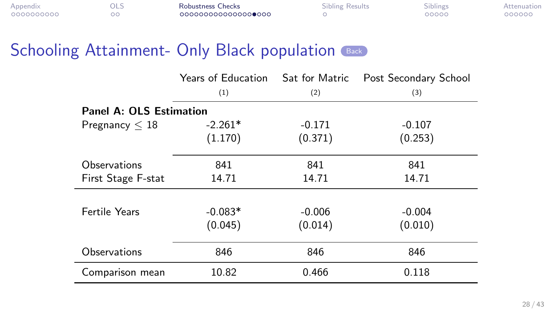| Appendix   | - ULJ | Robustness Checks   | Sibling Results | Siblings | Attenuation |
|------------|-------|---------------------|-----------------|----------|-------------|
| 0000000000 |       | 0000000000000000000 |                 | 00000    | 000000      |

| <b>Robustness Checks</b> |                    |
|--------------------------|--------------------|
|                          | 000000000000000000 |

<span id="page-45-0"></span>

|                                | Years of Education | Sat for Matric | Post Secondary School |
|--------------------------------|--------------------|----------------|-----------------------|
|                                | (1)                | (2)            | (3)                   |
| <b>Panel A: OLS Estimation</b> |                    |                |                       |
| Pregnancy $\leq 18$            | $-2.261*$          | $-0.171$       | $-0.107$              |
|                                | (1.170)            | (0.371)        | (0.253)               |
| Observations                   | 841                | 841            | 841                   |
| First Stage F-stat             | 14.71              | 14.71          | 14.71                 |
|                                |                    |                |                       |
| <b>Fertile Years</b>           | $-0.083*$          | $-0.006$       | $-0.004$              |
|                                | (0.045)            | (0.014)        | (0.010)               |
| Observations                   | 846                | 846            | 846                   |
| Comparison mean                | 10.82              | 0.466          | 0.118                 |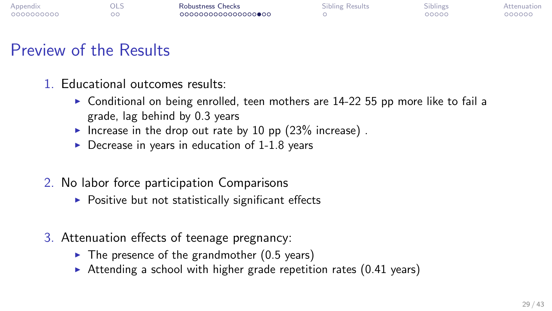| Appendix   | OLS | Robustness Checks   | Sibling Results | Siblings | Attenuation |
|------------|-----|---------------------|-----------------|----------|-------------|
| 0000000000 |     | 0000000000000000000 |                 | 20000    | 000000      |

## Preview of the Results

- 1. Educational outcomes results:
	- $\triangleright$  Conditional on being enrolled, teen mothers are 14-22 55 pp more like to fail a grade, lag behind by 0.3 years
	- Increase in the drop out rate by 10 pp  $(23\%$  increase).
	- $\triangleright$  Decrease in years in education of 1-1.8 years
- 2. No labor force participation Comparisons
	- $\triangleright$  Positive but not statistically significant effects
- 3. Attenuation effects of teenage pregnancy:
	- $\blacktriangleright$  The presence of the grandmother (0.5 years)
	- $\triangleright$  Attending a school with higher grade repetition rates (0.41 years)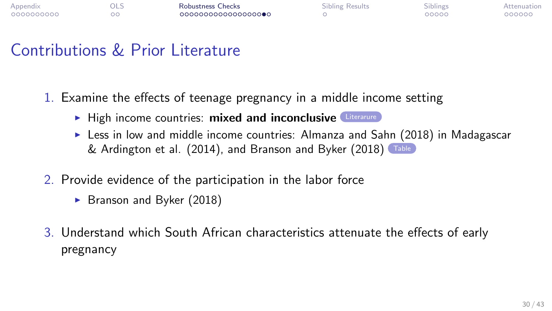| Appendix   | OLS | Robustness Checks  | <b>Sibling Results</b> | Siblings | Attenuation |
|------------|-----|--------------------|------------------------|----------|-------------|
| 0000000000 |     | 000000000000000000 |                        | 20000    | 000000      |

## Contributions & Prior Literature

- <span id="page-47-0"></span>1. Examine the effects of teenage pregnancy in a middle income setting
	- $\blacktriangleright$  High income countries: mixed and inconclusive [Literarure](#page-19-0)
	- $\triangleright$  Less in low and middle income countries: Almanza and Sahn (2018) in Madagascar & Ardington et al. (2014), and Branson and Byker (2018)
- 2. Provide evidence of the participation in the labor force
	- $\triangleright$  Branson and Byker (2018)
- 3. Understand which South African characteristics attenuate the effects of early pregnancy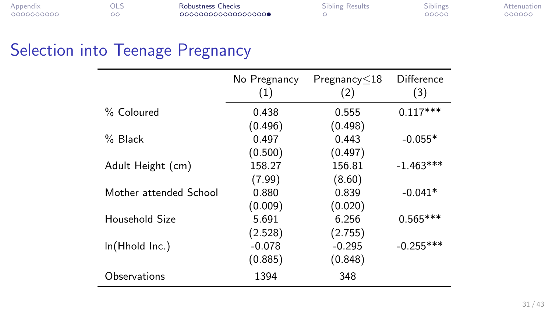| Appendix   | OLS | Robustness Checks  | Sibling Results | .<br><b>Siblings</b> | Attenuation |
|------------|-----|--------------------|-----------------|----------------------|-------------|
| 0000000000 |     | 000000000000000000 |                 | 00000                | 200000      |

# Selection into Teenage Pregnancy

|                        | No Pregnancy<br>(1) | $P$ regnancy $\leq$ 18<br>(2) | Difference<br>(3) |
|------------------------|---------------------|-------------------------------|-------------------|
| % Coloured             | 0.438               | 0.555                         | $0.117***$        |
|                        | (0.496)             | (0.498)                       |                   |
| $%$ Black              | 0.497               | 0.443                         | $-0.055*$         |
|                        | (0.500)             | (0.497)                       |                   |
| Adult Height (cm)      | 158.27              | 156.81                        | $-1.463***$       |
|                        | (7.99)              | (8.60)                        |                   |
| Mother attended School | 0.880               | 0.839                         | $-0.041*$         |
|                        | (0.009)             | (0.020)                       |                   |
| Household Size         | 5.691               | 6.256                         | $0.565***$        |
|                        | (2.528)             | (2.755)                       |                   |
| ln(Hhold Inc.)         | $-0.078$            | $-0.295$                      | $-0.255***$       |
|                        | (0.885)             | (0.848)                       |                   |
| Observations           | 1394                | 348                           |                   |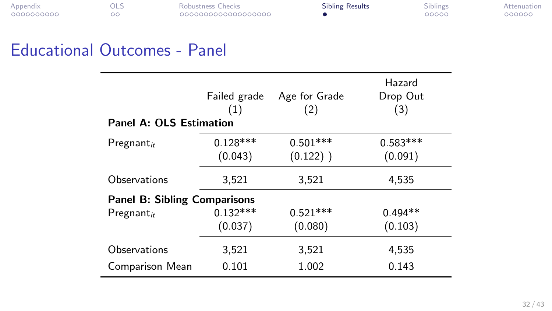<span id="page-49-0"></span>

| Appendix   | OLS | Robustness Checks  | <b>Sibling Results</b> | Siblings | Attenuation |
|------------|-----|--------------------|------------------------|----------|-------------|
| 0000000000 |     | 000000000000000000 |                        | 00000    | 000000      |

| Robustness Checks  |  |
|--------------------|--|
| 000000000000000000 |  |

| <b>Sibling Results</b> |  |
|------------------------|--|
| œ                      |  |

## Educational Outcomes - Panel

| Panel A: OLS Estimation             | Failed grade<br>(1)   | Age for Grade<br>(2)      | Hazard<br>Drop Out<br>(3) |
|-------------------------------------|-----------------------|---------------------------|---------------------------|
| $Pregnant_{it}$                     | $0.128***$<br>(0.043) | $0.501***$<br>$(0.122)$ ) | $0.583***$<br>(0.091)     |
| Observations                        | 3,521                 | 3,521                     | 4,535                     |
| <b>Panel B: Sibling Comparisons</b> |                       |                           |                           |
| $Pregnant_{it}$                     | $0.132***$            | $0.521***$                | $0.494**$                 |
|                                     | (0.037)               | (0.080)                   | (0.103)                   |
| Observations                        | 3,521                 | 3,521                     | 4.535                     |
| Comparison Mean                     | 0.101                 | 1.002                     | 0.143                     |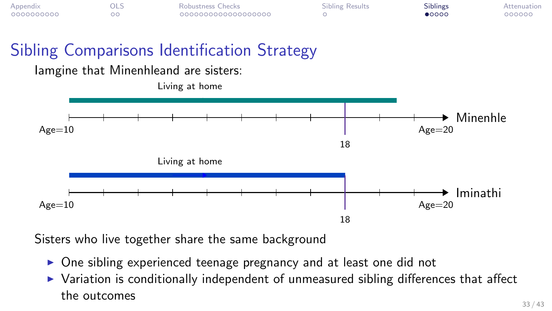<span id="page-50-0"></span>

| Appendix   | OLS | Robustness Checks  | <b>Sibling Results</b> | Siblings       | Attenuation |
|------------|-----|--------------------|------------------------|----------------|-------------|
| 0000000000 | - - | 000000000000000000 |                        | $\bullet$ 0000 | 000000      |

# Sibling Comparisons Identification Strategy

#### Iamgine that Minenhleand are sisters:



Sisters who live together share the same background

- $\triangleright$  One sibling experienced teenage pregnancy and at least one did not
- $\triangleright$  Variation is conditionally independent of unmeasured sibling differences that affect the outcomes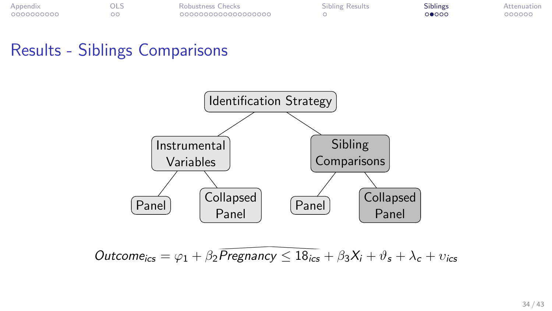| Appendix   | OLS | Robustness Checks  | Sibling Results | --- --<br>Siblings | Attenuation |
|------------|-----|--------------------|-----------------|--------------------|-------------|
| 0000000000 |     | 000000000000000000 |                 | 0●000              | 000000      |

#### Results - Siblings Comparisons



 $\textit{Outcome}_{\textit{ics}} = \varphi_1 + \beta_2 \overline{\textit{Pregnancy}} \leq 18_{\textit{ics}} + \beta_3 X_i + \vartheta_s + \lambda_c + \upsilon_{\textit{ics}}$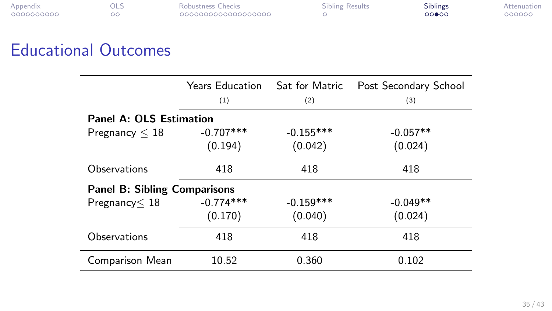| Appendix   | OLS | Robustness Checks  | <b>Sibling Results</b> | Siblings | Attenuation |
|------------|-----|--------------------|------------------------|----------|-------------|
| 0000000000 |     | 000000000000000000 |                        | 00000    | 000000      |

| Robustness Checks  |  |
|--------------------|--|
| 000000000000000000 |  |

# Educational Outcomes

|                                     | Years Education Sat for Matric<br>(1) | (2)         | Post Secondary School<br>(3) |
|-------------------------------------|---------------------------------------|-------------|------------------------------|
| <b>Panel A: OLS Estimation</b>      |                                       |             |                              |
| Pregnancy $\leq 18$                 | $-0.707***$                           | $-0.155***$ | $-0.057**$                   |
|                                     | (0.194)                               | (0.042)     | (0.024)                      |
| Observations                        | 418                                   | 418         | 418                          |
| <b>Panel B: Sibling Comparisons</b> |                                       |             |                              |
| Pregnancy < 18                      | $-0.774***$                           | $-0.159***$ | $-0.049**$                   |
|                                     | (0.170)                               | (0.040)     | (0.024)                      |
| Observations                        | 418                                   | 418         | 418                          |
| Comparison Mean                     | 10.52                                 | 0.360       | 0.102                        |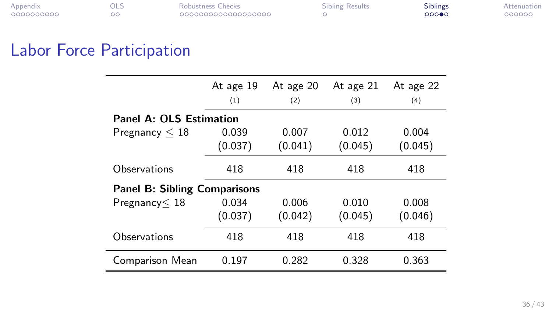| Appendix   | ols | Robustness Checks  | <b>Sibling Results</b> | <b>Siblings</b> | Attenuation |
|------------|-----|--------------------|------------------------|-----------------|-------------|
| 0000000000 |     | 000000000000000000 |                        | 000●0           | 000000      |

## Labor Force Participation

|                                     | At age 19<br>(1)               | At age 20<br>(2) | At age 21<br>(3) | At age 22<br>(4) |  |  |  |  |
|-------------------------------------|--------------------------------|------------------|------------------|------------------|--|--|--|--|
|                                     | <b>Panel A: OLS Estimation</b> |                  |                  |                  |  |  |  |  |
| Pregnancy $\leq 18$                 | 0.039<br>(0.037)               | 0.007<br>(0.041) | 0.012<br>(0.045) | 0.004<br>(0.045) |  |  |  |  |
| Observations                        | 418                            | 418              | 418              | 418              |  |  |  |  |
| <b>Panel B: Sibling Comparisons</b> |                                |                  |                  |                  |  |  |  |  |
| Pregnancy < 18                      | 0.034<br>(0.037)               | 0.006<br>(0.042) | 0.010<br>(0.045) | 0.008<br>(0.046) |  |  |  |  |
| Observations                        | 418                            | 418              | 418              | 418              |  |  |  |  |
| Comparison Mean                     | 0.197                          | 0.282            | 0.328            | 0.363            |  |  |  |  |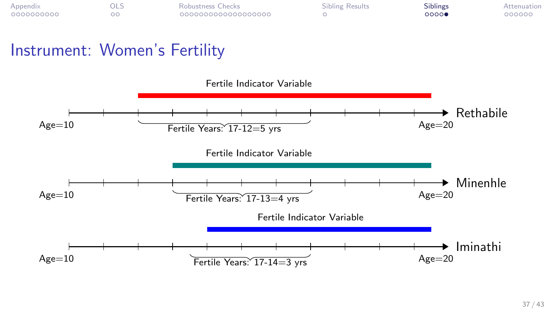| Appendix   | OLS | Robustness Checks  | Sibling Results | $-111$<br>Siblings | Attenuation |
|------------|-----|--------------------|-----------------|--------------------|-------------|
| 0000000000 |     | 000000000000000000 |                 | 00000              | 000000      |

## Instrument: Women's Fertility

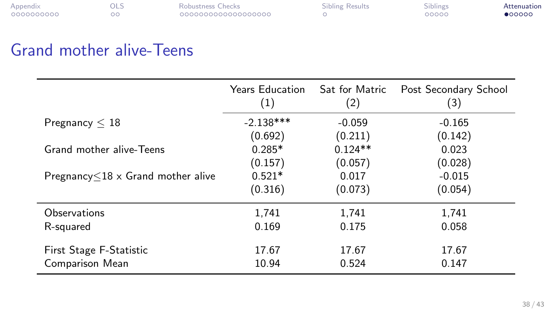<span id="page-55-0"></span>

| Appendix   | OLS | Robustness Checks  | <b>Sibling Results</b> | <b>Siblings</b> | Attenuation |
|------------|-----|--------------------|------------------------|-----------------|-------------|
| 0000000000 |     | 000000000000000000 |                        | 00000           | •00000      |

## Grand mother alive-Teens

|                                          | Years Education<br>$\left(1\right)$ | Sat for Matric<br>(2) | Post Secondary School<br>(3) |
|------------------------------------------|-------------------------------------|-----------------------|------------------------------|
| Pregnancy $\leq 18$                      | $-2.138***$                         | $-0.059$              | $-0.165$                     |
|                                          | (0.692)                             | (0.211)               | (0.142)                      |
| Grand mother alive-Teens                 | $0.285*$                            | $0.124**$             | 0.023                        |
|                                          | (0.157)                             | (0.057)               | (0.028)                      |
| Pregnancy $\leq$ 18 x Grand mother alive | $0.521*$                            | 0.017                 | $-0.015$                     |
|                                          | (0.316)                             | (0.073)               | (0.054)                      |
| Observations                             | 1,741                               | 1,741                 | 1,741                        |
| R-squared                                | 0.169                               | 0.175                 | 0.058                        |
| First Stage F-Statistic                  | 17.67                               | 17.67                 | 17.67                        |
| Comparison Mean                          | 10.94                               | 0.524                 | 0.147                        |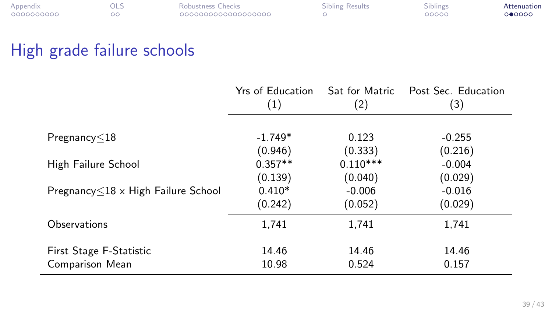| Appendix   | <b>DLS</b> | Robustness Checks  | <b>Sibling Results</b> | <b>Siblings</b> | Attenuation |
|------------|------------|--------------------|------------------------|-----------------|-------------|
| 0000000000 |            | 000000000000000000 |                        | 00000           | 000000      |

# High grade failure schools

|                                           | Yrs of Education<br>(1) | Sat for Matric<br>(2) | Post Sec. Education<br>(3) |
|-------------------------------------------|-------------------------|-----------------------|----------------------------|
|                                           |                         |                       |                            |
| Pregnancy<18                              | $-1.749*$               | 0.123                 | $-0.255$                   |
|                                           | (0.946)                 | (0.333)               | (0.216)                    |
| High Failure School                       | $0.357**$               | $0.110***$            | $-0.004$                   |
|                                           | (0.139)                 | (0.040)               | (0.029)                    |
| Pregnancy $\leq$ 18 x High Failure School | $0.410*$                | $-0.006$              | $-0.016$                   |
|                                           | (0.242)                 | (0.052)               | (0.029)                    |
| Observations                              | 1.741                   | 1.741                 | 1,741                      |
| First Stage F-Statistic                   | 14.46                   | 14.46                 | 14.46                      |
| Comparison Mean                           | 10.98                   | 0.524                 | 0.157                      |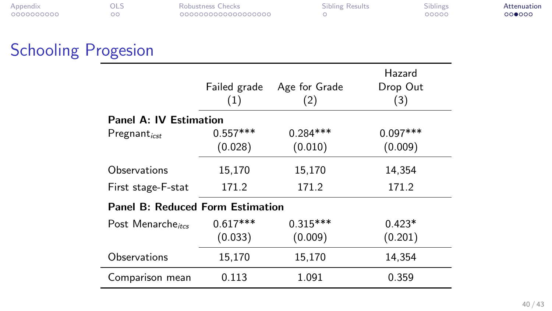| Appendix   |    | Robustness Checks  | <b>Sibling Results</b> | Siblings | Attenuation |
|------------|----|--------------------|------------------------|----------|-------------|
| 0000000000 | ററ | 000000000000000000 |                        | 00000    | 000000      |

| Robustness Checks |                    |
|-------------------|--------------------|
|                   | 000000000000000000 |

# Schooling Progesion

|                                  |              |               | Hazard     |
|----------------------------------|--------------|---------------|------------|
|                                  | Failed grade | Age for Grade | Drop Out   |
|                                  | (1)          | (2)           | (3)        |
| Panel A: IV Estimation           |              |               |            |
| $Pregnant_{icst}$                | $0.557***$   | $0.284***$    | $0.097***$ |
|                                  | (0.028)      | (0.010)       | (0.009)    |
| Observations                     | 15,170       | 15,170        | 14.354     |
| First stage-F-stat               | 171.2        | 171.2         | 171.2      |
| Panel B: Reduced Form Estimation |              |               |            |
| Post Menarche <sub>ites</sub>    | $0.617***$   | $0.315***$    | $0.423*$   |
|                                  | (0.033)      | (0.009)       | (0.201)    |
| Observations                     | 15,170       | 15,170        | 14,354     |
| Comparison mean                  | 0.113        | 1.091         | 0.359      |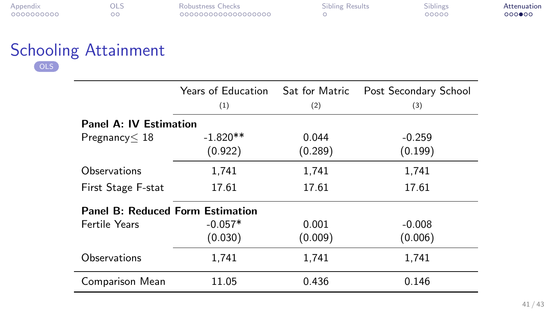| Appendix   | - ULJ | Robustness Checks  | Sibling Results | Siblings | Attenuation |
|------------|-------|--------------------|-----------------|----------|-------------|
| 0000000000 |       | 000000000000000000 |                 | 00000    | $000$ $00$  |

| Robustness Checks  |  |
|--------------------|--|
| 000000000000000000 |  |

#### Schooling Attainment [OLS](#page-0-0)

|                                         | Years of Education |         | Sat for Matric Post Secondary School |
|-----------------------------------------|--------------------|---------|--------------------------------------|
|                                         | (1)                | (2)     | (3)                                  |
| Panel A: IV Estimation                  |                    |         |                                      |
| Pregenancy < 18                         | $-1.820**$         | 0.044   | $-0.259$                             |
|                                         | (0.922)            | (0.289) | (0.199)                              |
| Observations                            | 1,741              | 1,741   | 1.741                                |
| First Stage F-stat                      | 17.61              | 17.61   | 17.61                                |
| <b>Panel B: Reduced Form Estimation</b> |                    |         |                                      |
| Fertile Years                           | $-0.057*$          | 0.001   | $-0.008$                             |
|                                         | (0.030)            | (0.009) | (0.006)                              |
| Observations                            | 1,741              | 1,741   | 1.741                                |
| Comparison Mean                         | 11.05              | 0.436   | 0.146                                |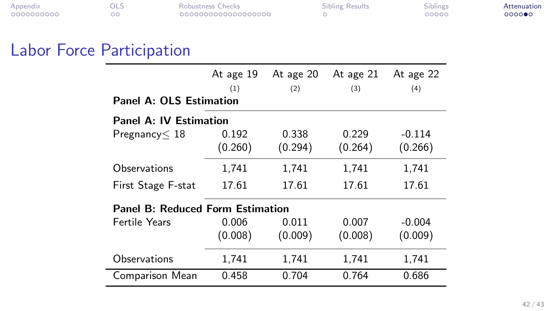| Appendix   | OLS | Robustness Checks  | <b>Sibling Results</b> | <b>Siblings</b> | Attenuation |
|------------|-----|--------------------|------------------------|-----------------|-------------|
| 0000000000 |     | 000000000000000000 |                        | 00000           | 0000●0      |

## Labor Force Participation

|                                         | At age 19<br>(1) | At age 20<br>(2) | At age 21<br>(3) | At age 22<br>(4) |  |  |  |
|-----------------------------------------|------------------|------------------|------------------|------------------|--|--|--|
| <b>Panel A: OLS Estimation</b>          |                  |                  |                  |                  |  |  |  |
| <b>Panel A: IV Estimation</b>           |                  |                  |                  |                  |  |  |  |
| Pregnancy < 18                          | 0.192            | 0.338            | 0.229            | $-0.114$         |  |  |  |
|                                         | (0.260)          | (0.294)          | (0.264)          | (0.266)          |  |  |  |
| Observations                            | 1.741            | 1.741            | 1.741            | 1.741            |  |  |  |
| First Stage F-stat                      | 17.61            | 17.61            | 17.61            | 17.61            |  |  |  |
| <b>Panel B: Reduced Form Estimation</b> |                  |                  |                  |                  |  |  |  |
| <b>Fertile Years</b>                    | 0.006            | 0.011            | 0.007            | $-0.004$         |  |  |  |
|                                         | (0.008)          | (0.009)          | (0.008)          | (0.009)          |  |  |  |
| Observations                            | 1,741            | 1,741            | 1,741            | 1.741            |  |  |  |
| Comparison Mean                         | 0.458            | 0.704            | 0.764            | 0.686            |  |  |  |